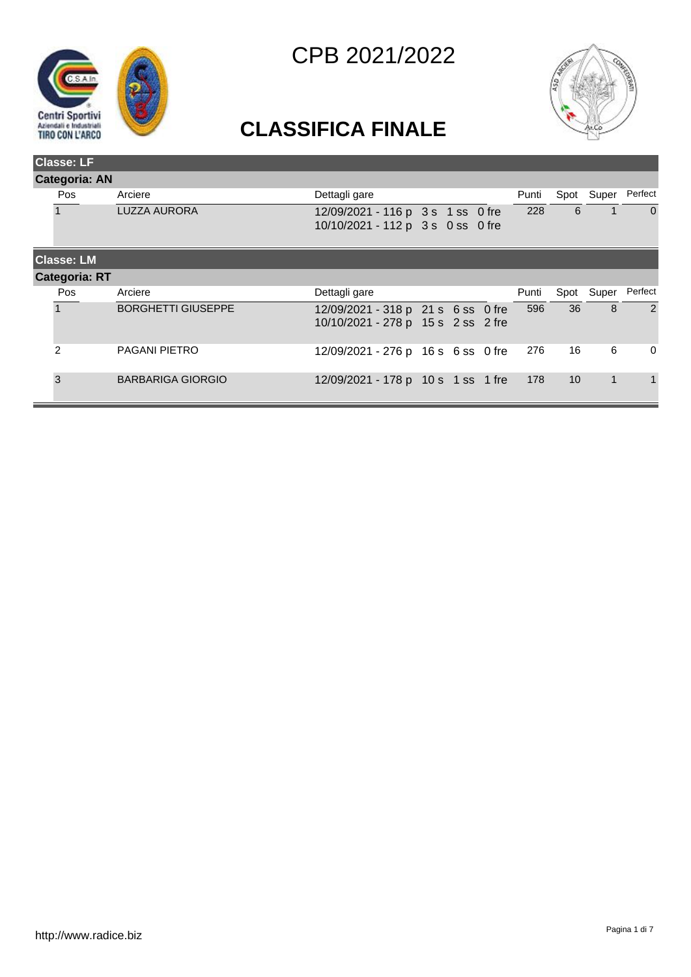



| <b>Classe: LF</b>    |                           |                                                                          |  |  |  |       |                 |             |                |  |
|----------------------|---------------------------|--------------------------------------------------------------------------|--|--|--|-------|-----------------|-------------|----------------|--|
| <b>Categoria: AN</b> |                           |                                                                          |  |  |  |       |                 |             |                |  |
| Pos                  | Arciere                   | Dettagli gare                                                            |  |  |  | Punti | Spot            | Super       | Perfect        |  |
|                      | <b>LUZZA AURORA</b>       | 12/09/2021 - 116 p 3 s 1 ss 0 fre<br>10/10/2021 - 112 p 3 s 0 ss 0 fre   |  |  |  | 228   | 6               |             | $\Omega$       |  |
| <b>Classe: LM</b>    |                           |                                                                          |  |  |  |       |                 |             |                |  |
| <b>Categoria: RT</b> |                           |                                                                          |  |  |  |       |                 |             |                |  |
| Pos.                 | Arciere                   | Dettagli gare                                                            |  |  |  | Punti | Spot            | Super       | Perfect        |  |
|                      | <b>BORGHETTI GIUSEPPE</b> | 12/09/2021 - 318 p 21 s 6 ss 0 fre<br>10/10/2021 - 278 p 15 s 2 ss 2 fre |  |  |  | 596   | 36              | 8           | $\overline{2}$ |  |
| $\mathcal{P}$        | <b>PAGANI PIETRO</b>      | 12/09/2021 - 276 p 16 s 6 ss 0 fre                                       |  |  |  | 276   | 16              | 6           | $\mathbf 0$    |  |
| 3                    | <b>BARBARIGA GIORGIO</b>  | 12/09/2021 - 178 p 10 s 1 ss 1 fre                                       |  |  |  | 178   | 10 <sup>°</sup> | $\mathbf 1$ | 1              |  |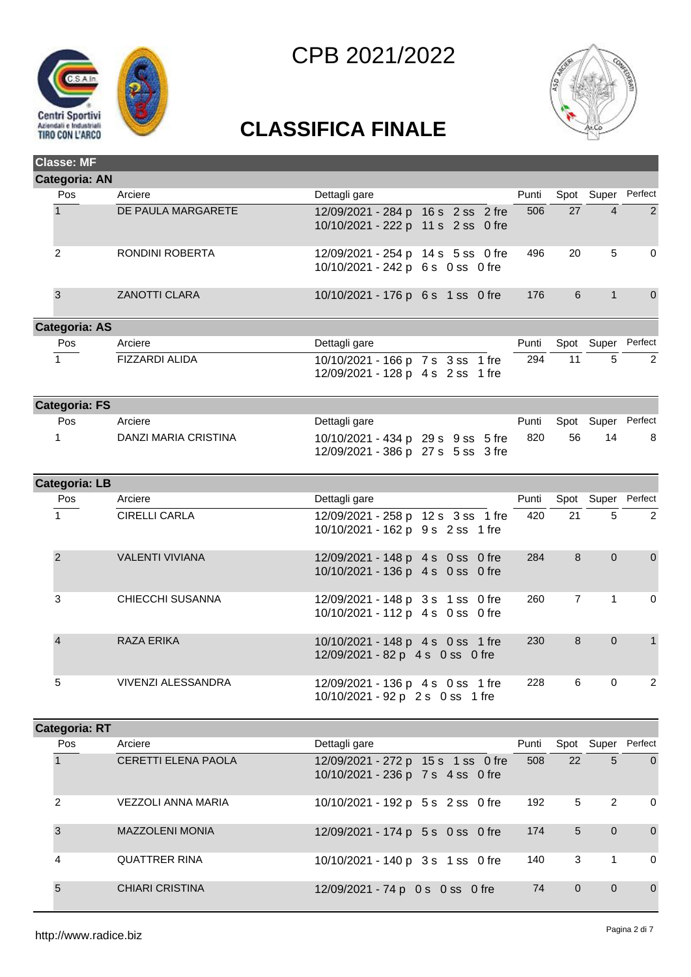



| <b>Classe: MF</b>    |                        |                                                                          |       |                |                    |                |
|----------------------|------------------------|--------------------------------------------------------------------------|-------|----------------|--------------------|----------------|
| <b>Categoria: AN</b> |                        |                                                                          |       |                |                    |                |
| Pos                  | Arciere                | Dettagli gare                                                            | Punti |                | Spot Super Perfect |                |
| $\overline{1}$       | DE PAULA MARGARETE     | 12/09/2021 - 284 p 16 s 2 ss 2 fre<br>10/10/2021 - 222 p 11 s 2 ss 0 fre | 506   | 27             | $\overline{4}$     | $\overline{2}$ |
| $\overline{2}$       | RONDINI ROBERTA        | 12/09/2021 - 254 p 14 s 5 ss 0 fre<br>10/10/2021 - 242 p 6 s 0 ss 0 fre  | 496   | 20             | 5                  | $\mathbf 0$    |
| $\mathbf{3}$         | <b>ZANOTTI CLARA</b>   | 10/10/2021 - 176 p 6 s 1 ss 0 fre                                        | 176   | 6              | $\mathbf{1}$       | $\overline{0}$ |
| <b>Categoria: AS</b> |                        |                                                                          |       |                |                    |                |
| Pos                  | Arciere                | Dettagli gare                                                            | Punti |                | Spot Super Perfect |                |
| $\mathbf{1}$         | FIZZARDI ALIDA         | 10/10/2021 - 166 p 7 s 3 ss 1 fre<br>12/09/2021 - 128 p 4 s 2 ss 1 fre   | 294   | 11             | 5                  | $\overline{2}$ |
| <b>Categoria: FS</b> |                        |                                                                          |       |                |                    |                |
| Pos                  | Arciere                | Dettagli gare                                                            | Punti | Spot           |                    | Super Perfect  |
| $\mathbf{1}$         | DANZI MARIA CRISTINA   | 10/10/2021 - 434 p 29 s 9 ss 5 fre<br>12/09/2021 - 386 p 27 s 5 ss 3 fre | 820   | 56             | 14                 | 8              |
| <b>Categoria: LB</b> |                        |                                                                          |       |                |                    |                |
| Pos                  | Arciere                | Dettagli gare                                                            | Punti |                | Spot Super Perfect |                |
| $\mathbf{1}$         | <b>CIRELLI CARLA</b>   | 12/09/2021 - 258 p 12 s 3 ss 1 fre<br>10/10/2021 - 162 p 9 s 2 ss 1 fre  | 420   | 21             | 5                  | $\overline{2}$ |
| $\overline{2}$       | <b>VALENTI VIVIANA</b> | 12/09/2021 - 148 p 4 s 0 ss 0 fre<br>10/10/2021 - 136 p 4 s 0 ss 0 fre   | 284   | 8              | $\overline{0}$     | $\overline{0}$ |
| 3                    | CHIECCHI SUSANNA       | 12/09/2021 - 148 p 3 s 1 ss 0 fre<br>10/10/2021 - 112 p 4 s 0 ss 0 fre   | 260   | $\overline{7}$ | $\mathbf{1}$       | $\mathbf 0$    |
| $\overline{4}$       | <b>RAZA ERIKA</b>      | 10/10/2021 - 148 p 4 s 0 ss 1 fre<br>12/09/2021 - 82 p 4 s 0 ss 0 fre    | 230   | 8              | $\Omega$           | $\mathbf{1}$   |
| 5                    | VIVENZI ALESSANDRA     | 12/09/2021 - 136 p 4 s 0 ss 1 fre<br>10/10/2021 - 92 p 2 s 0 ss 1 fre    | 228   | 6              | $\pmb{0}$          | $\overline{2}$ |
| <b>Categoria: RT</b> |                        |                                                                          |       |                |                    |                |

| <b>Annan In Island</b> |                            |                                                                         |       |                         |                |                    |
|------------------------|----------------------------|-------------------------------------------------------------------------|-------|-------------------------|----------------|--------------------|
| <b>Pos</b>             | Arciere                    | Dettagli gare                                                           | Punti |                         |                | Spot Super Perfect |
|                        | <b>CERETTI ELENA PAOLA</b> | 12/09/2021 - 272 p 15 s 1 ss 0 fre<br>10/10/2021 - 236 p 7 s 4 ss 0 fre | 508   | 22                      | 5              | $\Omega$           |
| $\overline{c}$         | <b>VEZZOLI ANNA MARIA</b>  | 10/10/2021 - 192 p 5 s 2 ss 0 fre                                       | 192   | 5                       | $\overline{2}$ | 0                  |
| 3                      | <b>MAZZOLENI MONIA</b>     | 12/09/2021 - 174 p 5 s 0 ss 0 fre                                       | 174   | 5                       | $\overline{0}$ | $\overline{0}$     |
| 4                      | <b>QUATTRER RINA</b>       | 10/10/2021 - 140 p 3 s 1 ss 0 fre                                       | 140   | $\overline{\mathbf{3}}$ |                | 0                  |
| 5                      | <b>CHIARI CRISTINA</b>     | 12/09/2021 - 74 p 0 s 0 ss 0 fre                                        | 74    | $\Omega$                | $\mathbf{0}$   | $\mathbf{0}$       |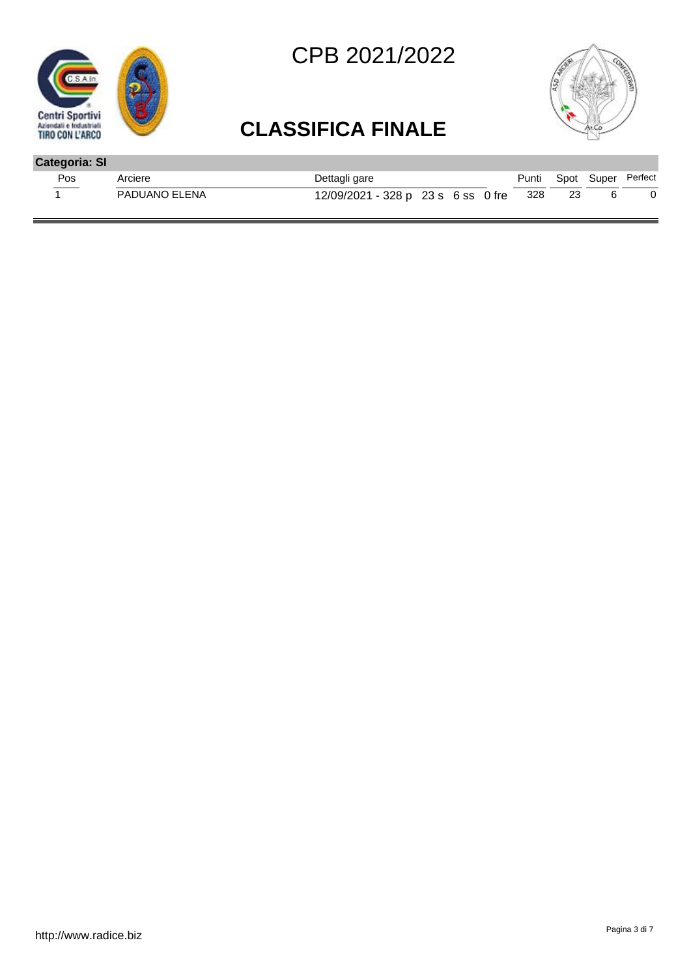



| <b>Categoria: SI</b> |               |                                    |  |       |                    |  |
|----------------------|---------------|------------------------------------|--|-------|--------------------|--|
| <b>Pos</b>           | Arciere       | Dettagli gare                      |  | Punti | Spot Super Perfect |  |
|                      | PADUANO ELENA | 12/09/2021 - 328 p 23 s 6 ss 0 fre |  | -328  |                    |  |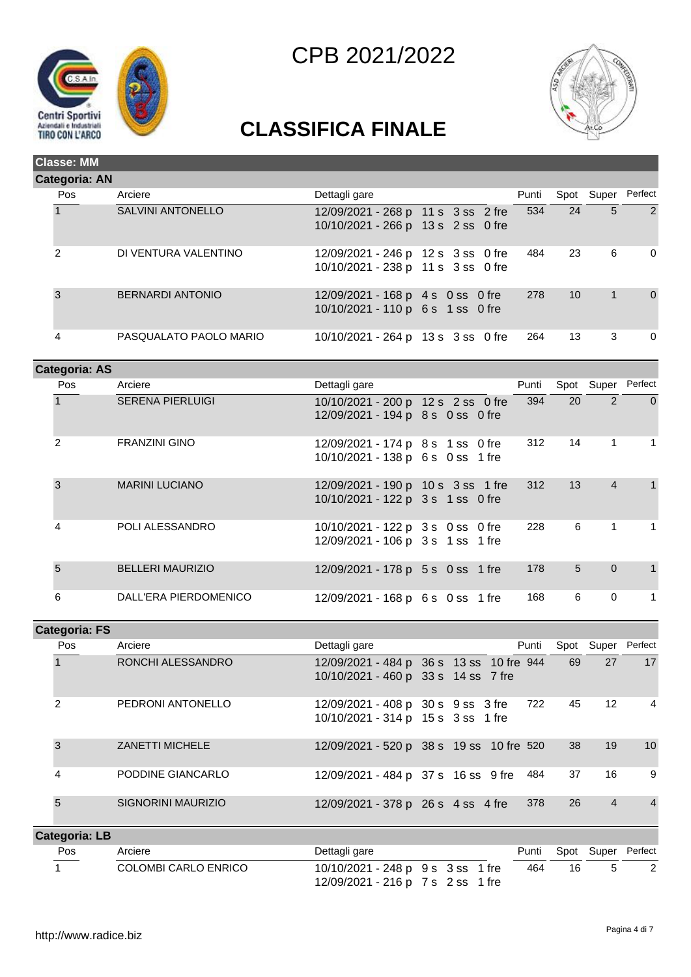



| <b>Categoria: AN</b><br>Arciere<br>Pos<br>Dettagli gare<br>Punti<br>Spot Super<br><b>SALVINI ANTONELLO</b><br>534<br>24<br>12/09/2021 - 268 p 11 s 3 ss 2 fre<br>5<br>10/10/2021 - 266 p 13 s 2 ss 0 fre |                |  |  |  |  |  |  |  |  |  |  |  |  |
|----------------------------------------------------------------------------------------------------------------------------------------------------------------------------------------------------------|----------------|--|--|--|--|--|--|--|--|--|--|--|--|
|                                                                                                                                                                                                          |                |  |  |  |  |  |  |  |  |  |  |  |  |
|                                                                                                                                                                                                          | Perfect        |  |  |  |  |  |  |  |  |  |  |  |  |
|                                                                                                                                                                                                          | $\overline{2}$ |  |  |  |  |  |  |  |  |  |  |  |  |
| $\mathcal{P}$<br>DI VENTURA VALENTINO<br>6<br>23<br>484<br>12/09/2021 - 246 p 12 s 3 ss 0 fre<br>10/10/2021 - 238 p 11 s 3 ss 0 fre                                                                      | 0              |  |  |  |  |  |  |  |  |  |  |  |  |
| 3<br><b>BERNARDI ANTONIO</b><br>10<br>278<br>1<br>12/09/2021 - 168 p 4 s 0 ss 0 fre<br>10/10/2021 - 110 p 6 s 1 ss 0 fre                                                                                 | $\mathbf 0$    |  |  |  |  |  |  |  |  |  |  |  |  |
| 4<br>PASQUALATO PAOLO MARIO<br>13<br>3<br>264<br>10/10/2021 - 264 p 13 s 3 ss 0 fre                                                                                                                      | $\Omega$       |  |  |  |  |  |  |  |  |  |  |  |  |

|  | Categoria: AS |                         |                                                                         |       |    |                |                |
|--|---------------|-------------------------|-------------------------------------------------------------------------|-------|----|----------------|----------------|
|  | Pos           | Arciere                 | Dettagli gare                                                           | Punti |    | Spot Super     | Perfect        |
|  |               | <b>SERENA PIERLUIGI</b> | 10/10/2021 - 200 p 12 s 2 ss 0 fre<br>12/09/2021 - 194 p 8 s 0 ss 0 fre | 394   | 20 | $\mathcal{P}$  | $\overline{0}$ |
|  | 2             | <b>FRANZINI GINO</b>    | 12/09/2021 - 174 p 8 s 1 ss 0 fre<br>10/10/2021 - 138 p 6 s 0 ss 1 fre  | 312   | 14 | 1              | 1              |
|  | 3             | <b>MARINI LUCIANO</b>   | 12/09/2021 - 190 p 10 s 3 ss 1 fre<br>10/10/2021 - 122 p 3 s 1 ss 0 fre | 312   | 13 | $\overline{4}$ | $\mathbf{1}$   |
|  | 4             | POLI ALESSANDRO         | 10/10/2021 - 122 p 3 s 0 ss 0 fre<br>12/09/2021 - 106 p 3 s 1 ss 1 fre  | 228   | 6  | $\mathbf{1}$   | $\mathbf{1}$   |
|  | 5             | <b>BELLERI MAURIZIO</b> | 12/09/2021 - 178 p 5 s 0 ss 1 fre                                       | 178   | 5  | $\overline{0}$ | $\mathbf{1}$   |
|  | 6             | DALL'ERA PIERDOMENICO   | 12/09/2021 - 168 p 6 s 0 ss 1 fre                                       | 168   | 6  | $\mathbf 0$    | 1              |

|  | <b>Categoria: FS</b> |                           |                                                                                 |  |  |       |    |                |                 |  |
|--|----------------------|---------------------------|---------------------------------------------------------------------------------|--|--|-------|----|----------------|-----------------|--|
|  | <b>Pos</b>           | Arciere                   | Dettagli gare                                                                   |  |  | Punti |    | Spot Super     | Perfect         |  |
|  |                      | RONCHI ALESSANDRO         | 12/09/2021 - 484 p 36 s 13 ss 10 fre 944<br>10/10/2021 - 460 p 33 s 14 ss 7 fre |  |  |       | 69 | 27             | 17              |  |
|  | $\mathfrak{p}$       | PEDRONI ANTONELLO         | 12/09/2021 - 408 p 30 s 9 ss 3 fre<br>10/10/2021 - 314 p 15 s 3 ss 1 fre        |  |  | 722   | 45 | -12            | $\overline{4}$  |  |
|  | 3                    | <b>ZANETTI MICHELE</b>    | 12/09/2021 - 520 p 38 s 19 ss 10 fre 520                                        |  |  |       | 38 | 19             | 10 <sup>1</sup> |  |
|  | 4                    | PODDINE GIANCARLO         | 12/09/2021 - 484 p 37 s 16 ss 9 fre 484                                         |  |  |       | 37 | 16             | 9               |  |
|  | 5                    | <b>SIGNORINI MAURIZIO</b> | 12/09/2021 - 378 p 26 s 4 ss 4 fre                                              |  |  | 378   | 26 | $\overline{4}$ | $\overline{4}$  |  |
|  | <b>Categoria: LB</b> |                           |                                                                                 |  |  |       |    |                |                 |  |

| Pos | Arciere              | Dettagli gare                     | Punti |    | Spot Super Perfect |
|-----|----------------------|-----------------------------------|-------|----|--------------------|
|     | COLOMBI CARLO ENRICO | 10/10/2021 - 248 p 9 s 3 ss 1 fre | 464   | 16 |                    |
|     |                      | 12/09/2021 - 216 p 7 s 2 ss 1 fre |       |    |                    |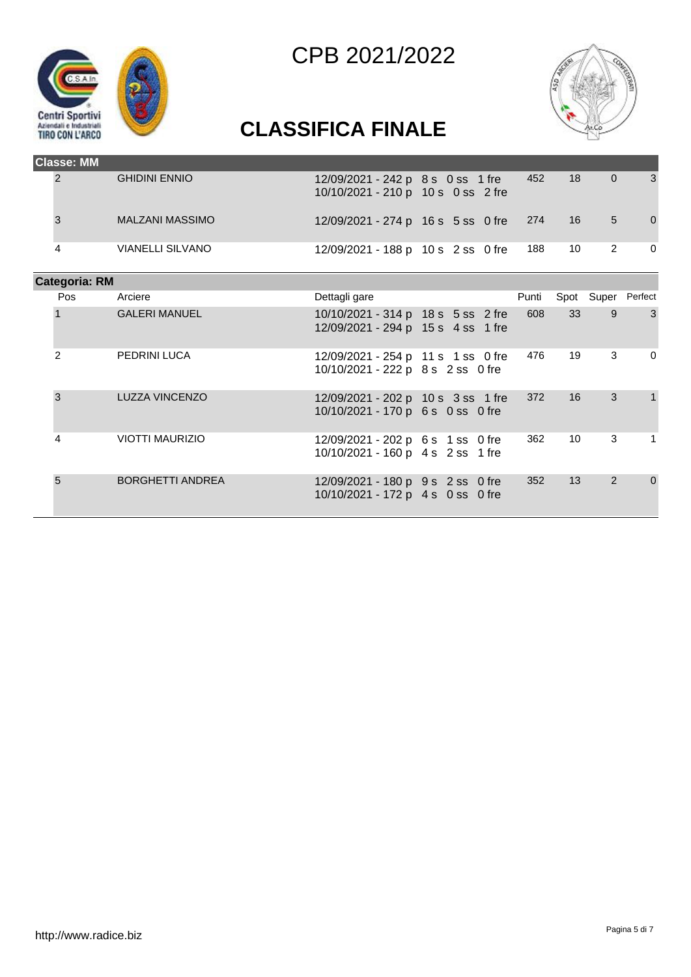



# **CLASSIFICA FINALE**

| <b>Classe: MM</b>    |                         |                                                                          |       |                 |                    |             |
|----------------------|-------------------------|--------------------------------------------------------------------------|-------|-----------------|--------------------|-------------|
| 2                    | <b>GHIDINI ENNIO</b>    | 12/09/2021 - 242 p 8 s 0 ss 1 fre<br>10/10/2021 - 210 p 10 s 0 ss 2 fre  | 452   | 18              | $\overline{0}$     | 3           |
| 3                    | <b>MALZANI MASSIMO</b>  | 12/09/2021 - 274 p 16 s 5 ss 0 fre                                       | 274   | 16              | 5                  | $\mathbf 0$ |
| 4                    | <b>VIANELLI SILVANO</b> | 12/09/2021 - 188 p 10 s 2 ss 0 fre                                       | 188   | 10              | $\overline{2}$     | $\mathbf 0$ |
| <b>Categoria: RM</b> |                         |                                                                          |       |                 |                    |             |
| <b>Pos</b>           | Arciere                 | Dettagli gare                                                            | Punti |                 | Spot Super Perfect |             |
|                      | <b>GALERI MANUEL</b>    | 10/10/2021 - 314 p 18 s 5 ss 2 fre<br>12/09/2021 - 294 p 15 s 4 ss 1 fre | 608   | 33              | 9                  | 3           |
| $\overline{2}$       | PEDRINI LUCA            | 12/09/2021 - 254 p 11 s 1 ss 0 fre<br>10/10/2021 - 222 p 8 s 2 ss 0 fre  | 476   | 19              | 3                  | $\mathbf 0$ |
| 3                    | <b>LUZZA VINCENZO</b>   | 12/09/2021 - 202 p 10 s 3 ss 1 fre<br>10/10/2021 - 170 p 6 s 0 ss 0 fre  | 372   | 16              | 3                  | 1           |
| 4                    | <b>VIOTTI MAURIZIO</b>  | 12/09/2021 - 202 p 6 s 1 ss 0 fre<br>10/10/2021 - 160 p 4 s 2 ss 1 fre   | 362   | 10 <sup>1</sup> | 3                  | 1           |
| $\overline{5}$       | <b>BORGHETTI ANDREA</b> | 12/09/2021 - 180 p 9 s 2 ss 0 fre                                        | 352   | 13              | 2                  | $\mathbf 0$ |

10/10/2021 - 172 p 4 s 0 ss 0 fre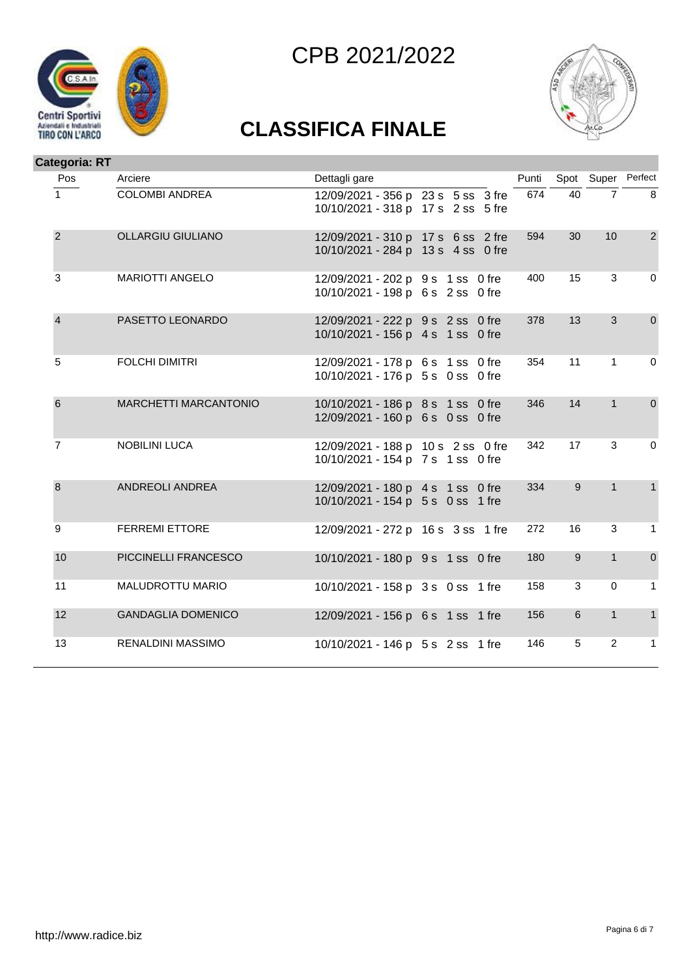





| Categoria: RT  |                           |                                                                          |       |                |                    |                |
|----------------|---------------------------|--------------------------------------------------------------------------|-------|----------------|--------------------|----------------|
| Pos            | Arciere                   | Dettagli gare                                                            | Punti |                | Spot Super Perfect |                |
| 1              | <b>COLOMBI ANDREA</b>     | 12/09/2021 - 356 p 23 s 5 ss 3 fre<br>10/10/2021 - 318 p 17 s 2 ss 5 fre | 674   | 40             | $\overline{7}$     | 8              |
| $\overline{2}$ | <b>OLLARGIU GIULIANO</b>  | 12/09/2021 - 310 p 17 s 6 ss 2 fre<br>10/10/2021 - 284 p 13 s 4 ss 0 fre | 594   | 30             | 10                 | $\overline{2}$ |
| 3              | <b>MARIOTTI ANGELO</b>    | 12/09/2021 - 202 p 9 s 1 ss 0 fre<br>10/10/2021 - 198 p 6 s 2 ss 0 fre   | 400   | 15             | 3                  | $\mathbf 0$    |
| $\overline{4}$ | PASETTO LEONARDO          | 12/09/2021 - 222 p 9 s 2 ss 0 fre<br>10/10/2021 - 156 p 4 s 1 ss 0 fre   | 378   | 13             | 3                  | $\mathbf 0$    |
| 5              | <b>FOLCHI DIMITRI</b>     | 12/09/2021 - 178 p 6 s 1 ss 0 fre<br>10/10/2021 - 176 p 5 s 0 ss 0 fre   | 354   | 11             | 1                  | $\mathbf 0$    |
| 6              | MARCHETTI MARCANTONIO     | 10/10/2021 - 186 p 8 s 1 ss 0 fre<br>12/09/2021 - 160 p 6 s 0 ss 0 fre   | 346   | 14             | $\mathbf{1}$       | $\mathbf 0$    |
| $\overline{7}$ | <b>NOBILINI LUCA</b>      | 12/09/2021 - 188 p 10 s 2 ss 0 fre<br>10/10/2021 - 154 p 7 s 1 ss 0 fre  | 342   | 17             | 3                  | $\mathbf 0$    |
| $\bf{8}$       | ANDREOLI ANDREA           | 12/09/2021 - 180 p 4 s 1 ss 0 fre<br>10/10/2021 - 154 p 5 s 0 ss 1 fre   | 334   | 9              | $\mathbf{1}$       | $\mathbf{1}$   |
| 9              | <b>FERREMI ETTORE</b>     | 12/09/2021 - 272 p 16 s 3 ss 1 fre                                       | 272   | 16             | 3                  | $\mathbf{1}$   |
| 10             | PICCINELLI FRANCESCO      | 10/10/2021 - 180 p 9 s 1 ss 0 fre                                        | 180   | $9\,$          | $\mathbf{1}$       | $\mathbf 0$    |
| 11             | MALUDROTTU MARIO          | 10/10/2021 - 158 p 3 s 0 ss 1 fre                                        | 158   | $\mathbf{3}$   | $\mathbf 0$        | $\mathbf{1}$   |
| 12             | <b>GANDAGLIA DOMENICO</b> | 12/09/2021 - 156 p 6 s 1 ss 1 fre                                        | 156   | $6\phantom{1}$ | $\mathbf{1}$       | $\mathbf{1}$   |
| 13             | <b>RENALDINI MASSIMO</b>  | 10/10/2021 - 146 p 5 s 2 ss 1 fre                                        | 146   | 5              | $\overline{2}$     | $\mathbf{1}$   |